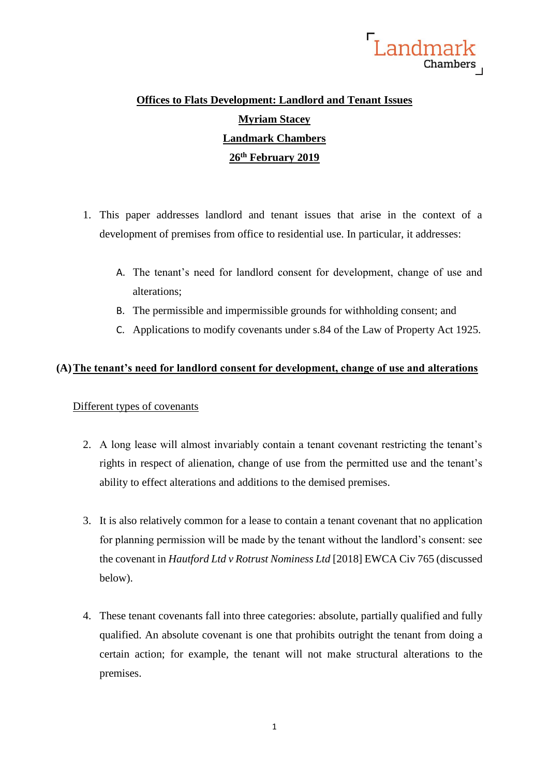

# **Offices to Flats Development: Landlord and Tenant Issues Myriam Stacey Landmark Chambers 26th February 2019**

- 1. This paper addresses landlord and tenant issues that arise in the context of a development of premises from office to residential use. In particular, it addresses:
	- A. The tenant's need for landlord consent for development, change of use and alterations;
	- B. The permissible and impermissible grounds for withholding consent; and
	- C. Applications to modify covenants under s.84 of the Law of Property Act 1925.

### **(A)The tenant's need for landlord consent for development, change of use and alterations**

### Different types of covenants

- 2. A long lease will almost invariably contain a tenant covenant restricting the tenant's rights in respect of alienation, change of use from the permitted use and the tenant's ability to effect alterations and additions to the demised premises.
- 3. It is also relatively common for a lease to contain a tenant covenant that no application for planning permission will be made by the tenant without the landlord's consent: see the covenant in *Hautford Ltd v Rotrust Nominess Ltd* [2018] EWCA Civ 765 (discussed below).
- 4. These tenant covenants fall into three categories: absolute, partially qualified and fully qualified. An absolute covenant is one that prohibits outright the tenant from doing a certain action; for example, the tenant will not make structural alterations to the premises.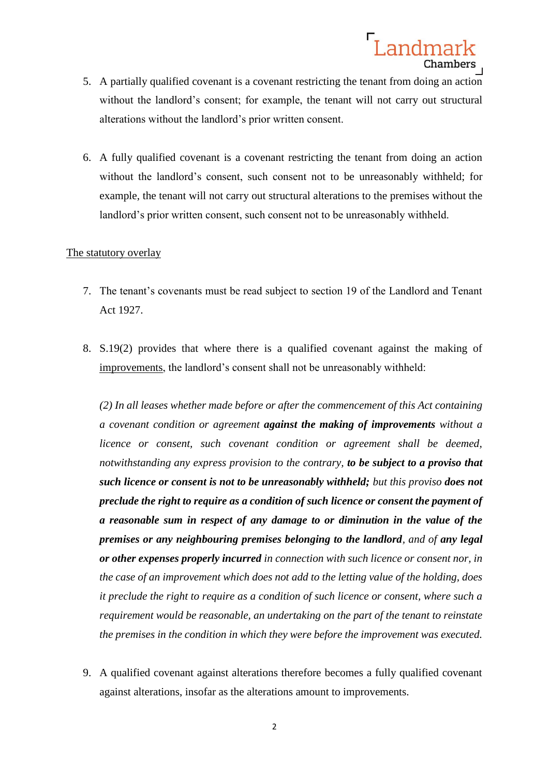

- 5. A partially qualified covenant is a covenant restricting the tenant from doing an action without the landlord's consent; for example, the tenant will not carry out structural alterations without the landlord's prior written consent.
- 6. A fully qualified covenant is a covenant restricting the tenant from doing an action without the landlord's consent, such consent not to be unreasonably withheld; for example, the tenant will not carry out structural alterations to the premises without the landlord's prior written consent, such consent not to be unreasonably withheld.

### The statutory overlay

- 7. The tenant's covenants must be read subject to section 19 of the Landlord and Tenant Act 1927.
- 8. S.19(2) provides that where there is a qualified covenant against the making of improvements, the landlord's consent shall not be unreasonably withheld:

*(2) In all leases whether made before or after the commencement of this Act containing a covenant condition or agreement against the making of improvements without a licence or consent, such covenant condition or agreement shall be deemed, notwithstanding any express provision to the contrary, to be subject to a proviso that such licence or consent is not to be unreasonably withheld; but this proviso does not preclude the right to require as a condition of such licence or consent the payment of a reasonable sum in respect of any damage to or diminution in the value of the premises or any neighbouring premises belonging to the landlord, and of any legal or other expenses properly incurred in connection with such licence or consent nor, in the case of an improvement which does not add to the letting value of the holding, does it preclude the right to require as a condition of such licence or consent, where such a requirement would be reasonable, an undertaking on the part of the tenant to reinstate the premises in the condition in which they were before the improvement was executed.*

9. A qualified covenant against alterations therefore becomes a fully qualified covenant against alterations, insofar as the alterations amount to improvements.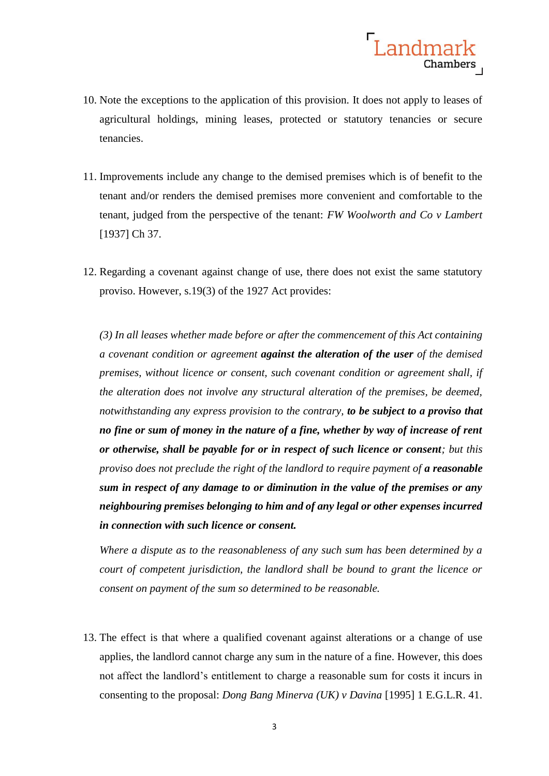

- 10. Note the exceptions to the application of this provision. It does not apply to leases of agricultural holdings, mining leases, protected or statutory tenancies or secure tenancies.
- 11. Improvements include any change to the demised premises which is of benefit to the tenant and/or renders the demised premises more convenient and comfortable to the tenant, judged from the perspective of the tenant: *FW Woolworth and Co v Lambert* [1937] Ch 37.
- 12. Regarding a covenant against change of use, there does not exist the same statutory proviso. However, s.19(3) of the 1927 Act provides:

*(3) In all leases whether made before or after the commencement of this Act containing a covenant condition or agreement against the alteration of the user of the demised premises, without licence or consent, such covenant condition or agreement shall, if the alteration does not involve any structural alteration of the premises, be deemed, notwithstanding any express provision to the contrary, to be subject to a proviso that no fine or sum of money in the nature of a fine, whether by way of increase of rent or otherwise, shall be payable for or in respect of such licence or consent; but this proviso does not preclude the right of the landlord to require payment of a reasonable sum in respect of any damage to or diminution in the value of the premises or any neighbouring premises belonging to him and of any legal or other expenses incurred in connection with such licence or consent.*

*Where a dispute as to the reasonableness of any such sum has been determined by a court of competent jurisdiction, the landlord shall be bound to grant the licence or consent on payment of the sum so determined to be reasonable.* 

13. The effect is that where a qualified covenant against alterations or a change of use applies, the landlord cannot charge any sum in the nature of a fine. However, this does not affect the landlord's entitlement to charge a reasonable sum for costs it incurs in consenting to the proposal: *Dong Bang Minerva (UK) v Davina* [1995] 1 E.G.L.R. 41.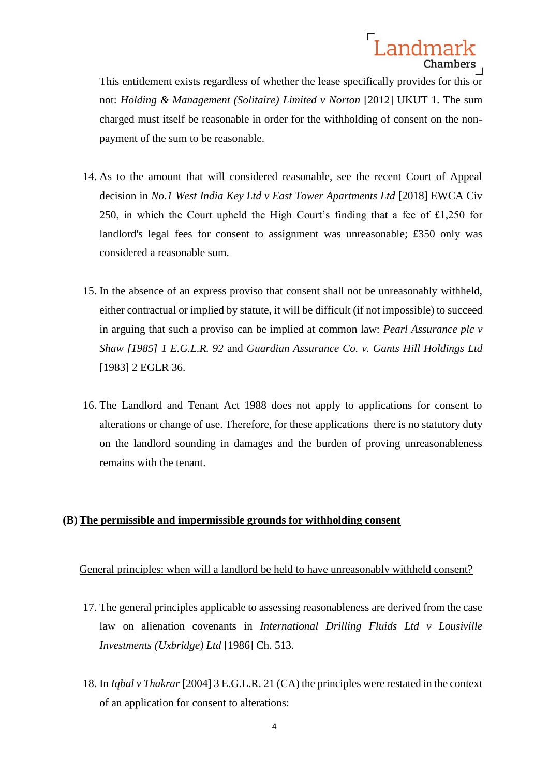This entitlement exists regardless of whether the lease specifically provides for this or not: *Holding & Management (Solitaire) Limited v Norton* [2012] UKUT 1. The sum charged must itself be reasonable in order for the withholding of consent on the nonpayment of the sum to be reasonable.

- 14. As to the amount that will considered reasonable, see the recent Court of Appeal decision in *No.1 West India Key Ltd v East Tower Apartments Ltd* [2018] EWCA Civ 250, in which the Court upheld the High Court's finding that a fee of £1,250 for landlord's legal fees for consent to assignment was unreasonable; £350 only was considered a reasonable sum.
- 15. In the absence of an express proviso that consent shall not be unreasonably withheld, either contractual or implied by statute, it will be difficult (if not impossible) to succeed in arguing that such a proviso can be implied at common law: *Pearl Assurance plc v Shaw [1985] 1 E.G.L.R. 92* and *Guardian Assurance Co. v. Gants Hill Holdings Ltd* [1983] 2 EGLR 36.
- 16. The Landlord and Tenant Act 1988 does not apply to applications for consent to alterations or change of use. Therefore, for these applications there is no statutory duty on the landlord sounding in damages and the burden of proving unreasonableness remains with the tenant.

### **(B) The permissible and impermissible grounds for withholding consent**

### General principles: when will a landlord be held to have unreasonably withheld consent?

- 17. The general principles applicable to assessing reasonableness are derived from the case law on alienation covenants in *International Drilling Fluids Ltd v Lousiville Investments (Uxbridge) Ltd* [1986] Ch. 513*.*
- 18. In *Iqbal v Thakrar* [2004] 3 E.G.L.R. 21 (CA) the principles were restated in the context of an application for consent to alterations: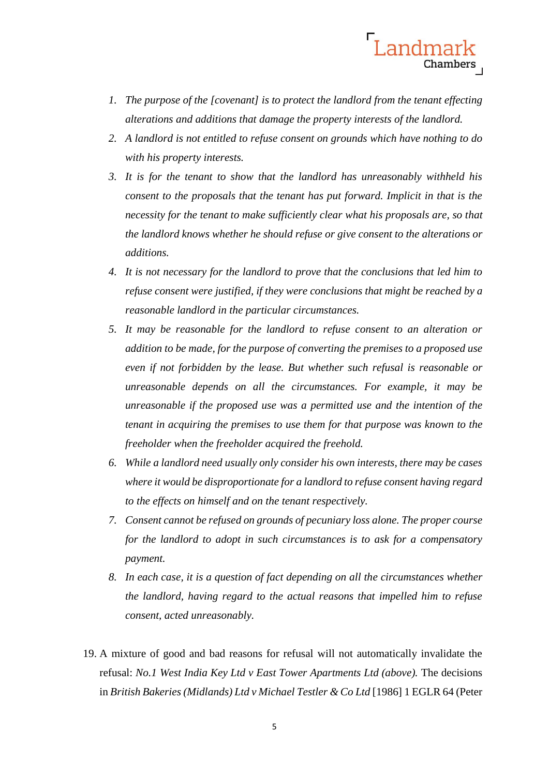

- *1. The purpose of the [covenant] is to protect the landlord from the tenant effecting alterations and additions that damage the property interests of the landlord.*
- *2. A landlord is not entitled to refuse consent on grounds which have nothing to do with his property interests.*
- *3. It is for the tenant to show that the landlord has unreasonably withheld his consent to the proposals that the tenant has put forward. Implicit in that is the necessity for the tenant to make sufficiently clear what his proposals are, so that the landlord knows whether he should refuse or give consent to the alterations or additions.*
- *4. It is not necessary for the landlord to prove that the conclusions that led him to refuse consent were justified, if they were conclusions that might be reached by a reasonable landlord in the particular circumstances.*
- *5. It may be reasonable for the landlord to refuse consent to an alteration or addition to be made, for the purpose of converting the premises to a proposed use even if not forbidden by the lease. But whether such refusal is reasonable or unreasonable depends on all the circumstances. For example, it may be unreasonable if the proposed use was a permitted use and the intention of the tenant in acquiring the premises to use them for that purpose was known to the freeholder when the freeholder acquired the freehold.*
- *6. While a landlord need usually only consider his own interests, there may be cases where it would be disproportionate for a landlord to refuse consent having regard to the effects on himself and on the tenant respectively.*
- *7. Consent cannot be refused on grounds of pecuniary loss alone. The proper course for the landlord to adopt in such circumstances is to ask for a compensatory payment.*
- *8. In each case, it is a question of fact depending on all the circumstances whether the landlord, having regard to the actual reasons that impelled him to refuse consent, acted unreasonably.*
- 19. A mixture of good and bad reasons for refusal will not automatically invalidate the refusal: *No.1 West India Key Ltd v East Tower Apartments Ltd (above).* The decisions in *British Bakeries (Midlands) Ltd v Michael Testler & Co Ltd* [1986] 1 EGLR 64 (Peter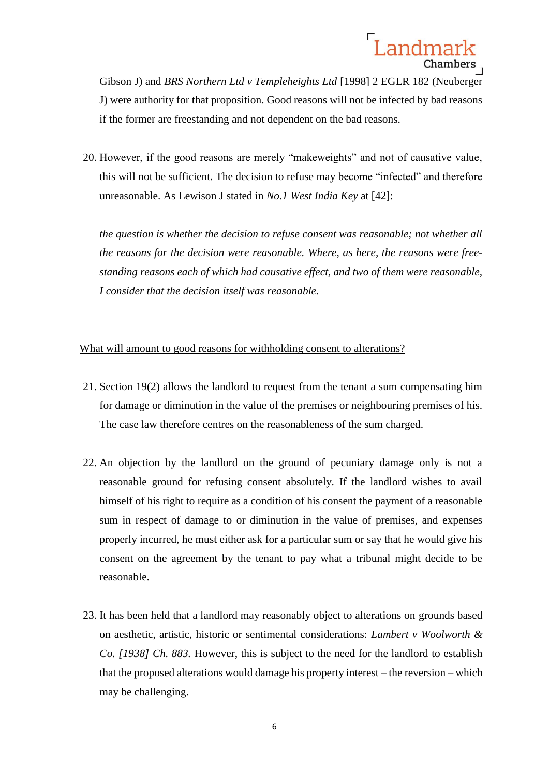Gibson J) and *BRS Northern Ltd v Templeheights Ltd* [1998] 2 EGLR 182 (Neuberger J) were authority for that proposition. Good reasons will not be infected by bad reasons if the former are freestanding and not dependent on the bad reasons.

20. However, if the good reasons are merely "makeweights" and not of causative value, this will not be sufficient. The decision to refuse may become "infected" and therefore unreasonable. As Lewison J stated in *No.1 West India Key* at [42]:

*the question is whether the decision to refuse consent was reasonable; not whether all the reasons for the decision were reasonable. Where, as here, the reasons were freestanding reasons each of which had causative effect, and two of them were reasonable, I consider that the decision itself was reasonable.*

### What will amount to good reasons for withholding consent to alterations?

- 21. Section 19(2) allows the landlord to request from the tenant a sum compensating him for damage or diminution in the value of the premises or neighbouring premises of his. The case law therefore centres on the reasonableness of the sum charged.
- 22. An objection by the landlord on the ground of pecuniary damage only is not a reasonable ground for refusing consent absolutely. If the landlord wishes to avail himself of his right to require as a condition of his consent the payment of a reasonable sum in respect of damage to or diminution in the value of premises, and expenses properly incurred, he must either ask for a particular sum or say that he would give his consent on the agreement by the tenant to pay what a tribunal might decide to be reasonable.
- 23. It has been held that a landlord may reasonably object to alterations on grounds based on aesthetic, artistic, historic or sentimental considerations: *Lambert v Woolworth & Co. [1938] Ch. 883.* However, this is subject to the need for the landlord to establish that the proposed alterations would damage his property interest – the reversion – which may be challenging.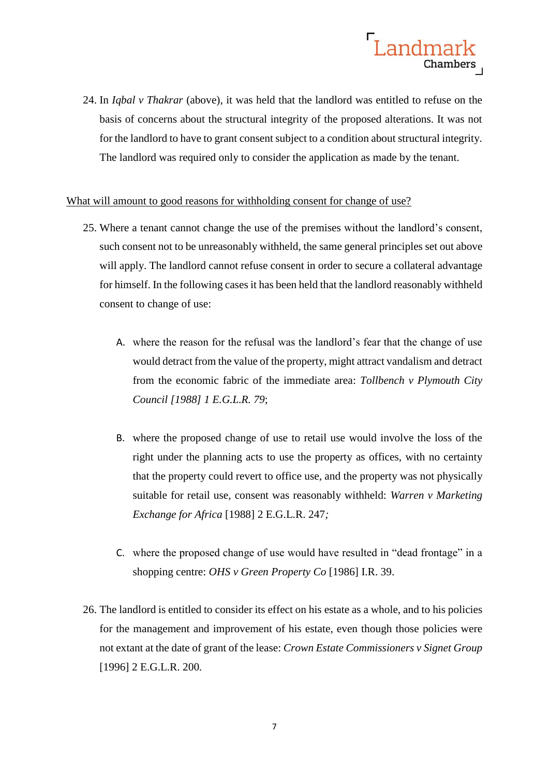

24. In *Iqbal v Thakrar* (above), it was held that the landlord was entitled to refuse on the basis of concerns about the structural integrity of the proposed alterations. It was not for the landlord to have to grant consent subject to a condition about structural integrity. The landlord was required only to consider the application as made by the tenant.

### What will amount to good reasons for withholding consent for change of use?

- 25. Where a tenant cannot change the use of the premises without the landlord's consent, such consent not to be unreasonably withheld, the same general principles set out above will apply. The landlord cannot refuse consent in order to secure a collateral advantage for himself. In the following cases it has been held that the landlord reasonably withheld consent to change of use:
	- A. where the reason for the refusal was the landlord's fear that the change of use would detract from the value of the property, might attract vandalism and detract from the economic fabric of the immediate area: *Tollbench v Plymouth City Council [1988] 1 E.G.L.R. 79*;
	- B. where the proposed change of use to retail use would involve the loss of the right under the planning acts to use the property as offices, with no certainty that the property could revert to office use, and the property was not physically suitable for retail use, consent was reasonably withheld: *Warren v Marketing Exchange for Africa* [1988] 2 E.G.L.R. 247*;*
	- C. where the proposed change of use would have resulted in "dead frontage" in a shopping centre: *OHS v Green Property Co* [1986] I.R. 39.
- 26. The landlord is entitled to consider its effect on his estate as a whole, and to his policies for the management and improvement of his estate, even though those policies were not extant at the date of grant of the lease: *Crown Estate Commissioners v Signet Group*  [1996] 2 E.G.L.R. 200*.*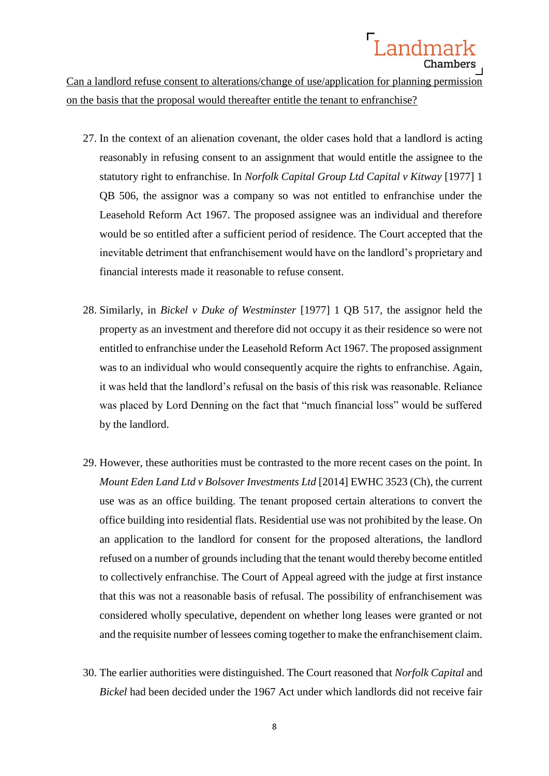Can a landlord refuse consent to alterations/change of use/application for planning permission on the basis that the proposal would thereafter entitle the tenant to enfranchise?

- 27. In the context of an alienation covenant, the older cases hold that a landlord is acting reasonably in refusing consent to an assignment that would entitle the assignee to the statutory right to enfranchise. In *Norfolk Capital Group Ltd Capital v Kitway* [1977] 1 QB 506, the assignor was a company so was not entitled to enfranchise under the Leasehold Reform Act 1967. The proposed assignee was an individual and therefore would be so entitled after a sufficient period of residence. The Court accepted that the inevitable detriment that enfranchisement would have on the landlord's proprietary and financial interests made it reasonable to refuse consent.
- 28. Similarly, in *Bickel v Duke of Westminster* [1977] 1 QB 517, the assignor held the property as an investment and therefore did not occupy it as their residence so were not entitled to enfranchise under the Leasehold Reform Act 1967. The proposed assignment was to an individual who would consequently acquire the rights to enfranchise. Again, it was held that the landlord's refusal on the basis of this risk was reasonable. Reliance was placed by Lord Denning on the fact that "much financial loss" would be suffered by the landlord.
- 29. However, these authorities must be contrasted to the more recent cases on the point. In *Mount Eden Land Ltd v Bolsover Investments Ltd* [2014] EWHC 3523 (Ch), the current use was as an office building. The tenant proposed certain alterations to convert the office building into residential flats. Residential use was not prohibited by the lease. On an application to the landlord for consent for the proposed alterations, the landlord refused on a number of grounds including that the tenant would thereby become entitled to collectively enfranchise. The Court of Appeal agreed with the judge at first instance that this was not a reasonable basis of refusal. The possibility of enfranchisement was considered wholly speculative, dependent on whether long leases were granted or not and the requisite number of lessees coming together to make the enfranchisement claim.
- 30. The earlier authorities were distinguished. The Court reasoned that *Norfolk Capital* and *Bickel* had been decided under the 1967 Act under which landlords did not receive fair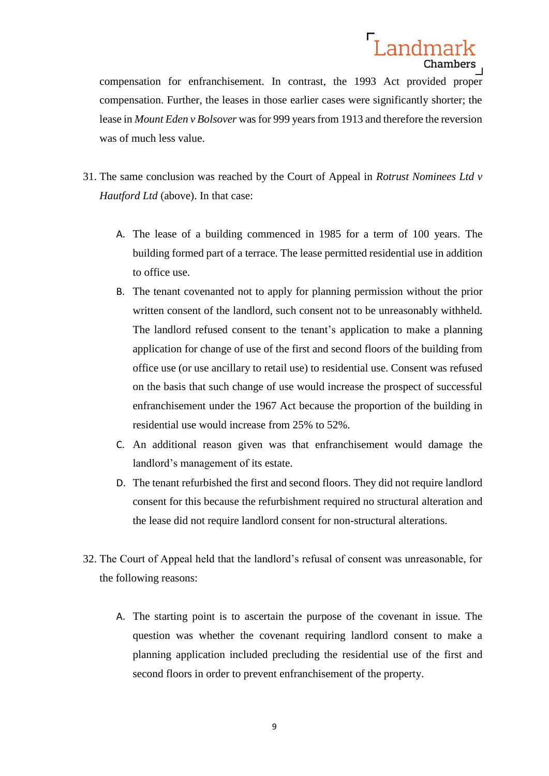

compensation for enfranchisement. In contrast, the 1993 Act provided proper compensation. Further, the leases in those earlier cases were significantly shorter; the lease in *Mount Eden v Bolsover* was for 999 years from 1913 and therefore the reversion was of much less value.

- 31. The same conclusion was reached by the Court of Appeal in *Rotrust Nominees Ltd v Hautford Ltd* (above). In that case:
	- A. The lease of a building commenced in 1985 for a term of 100 years. The building formed part of a terrace. The lease permitted residential use in addition to office use.
	- B. The tenant covenanted not to apply for planning permission without the prior written consent of the landlord, such consent not to be unreasonably withheld. The landlord refused consent to the tenant's application to make a planning application for change of use of the first and second floors of the building from office use (or use ancillary to retail use) to residential use. Consent was refused on the basis that such change of use would increase the prospect of successful enfranchisement under the 1967 Act because the proportion of the building in residential use would increase from 25% to 52%.
	- C. An additional reason given was that enfranchisement would damage the landlord's management of its estate.
	- D. The tenant refurbished the first and second floors. They did not require landlord consent for this because the refurbishment required no structural alteration and the lease did not require landlord consent for non-structural alterations.
- 32. The Court of Appeal held that the landlord's refusal of consent was unreasonable, for the following reasons:
	- A. The starting point is to ascertain the purpose of the covenant in issue. The question was whether the covenant requiring landlord consent to make a planning application included precluding the residential use of the first and second floors in order to prevent enfranchisement of the property.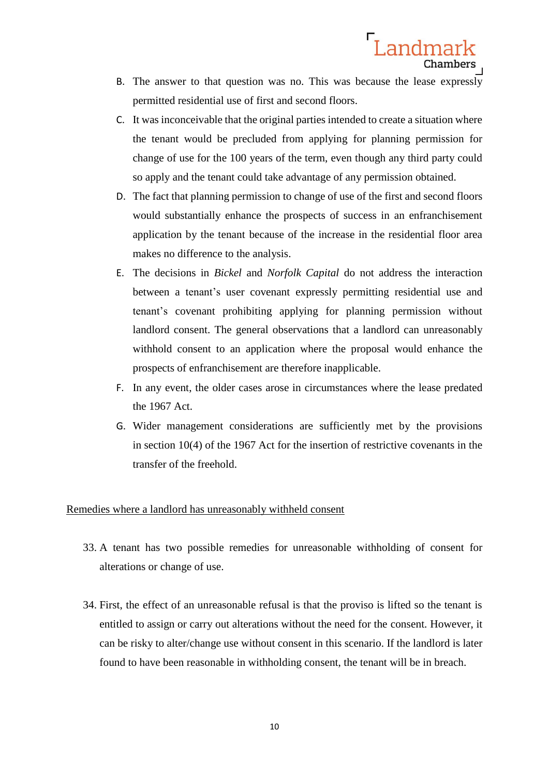B. The answer to that question was no. This was because the lease expressly permitted residential use of first and second floors.

Landmark

Chambers

- C. It was inconceivable that the original parties intended to create a situation where the tenant would be precluded from applying for planning permission for change of use for the 100 years of the term, even though any third party could so apply and the tenant could take advantage of any permission obtained.
- D. The fact that planning permission to change of use of the first and second floors would substantially enhance the prospects of success in an enfranchisement application by the tenant because of the increase in the residential floor area makes no difference to the analysis.
- E. The decisions in *Bickel* and *Norfolk Capital* do not address the interaction between a tenant's user covenant expressly permitting residential use and tenant's covenant prohibiting applying for planning permission without landlord consent. The general observations that a landlord can unreasonably withhold consent to an application where the proposal would enhance the prospects of enfranchisement are therefore inapplicable.
- F. In any event, the older cases arose in circumstances where the lease predated the 1967 Act.
- G. Wider management considerations are sufficiently met by the provisions in section 10(4) of the 1967 Act for the insertion of restrictive covenants in the transfer of the freehold.

#### Remedies where a landlord has unreasonably withheld consent

- 33. A tenant has two possible remedies for unreasonable withholding of consent for alterations or change of use.
- 34. First, the effect of an unreasonable refusal is that the proviso is lifted so the tenant is entitled to assign or carry out alterations without the need for the consent. However, it can be risky to alter/change use without consent in this scenario. If the landlord is later found to have been reasonable in withholding consent, the tenant will be in breach.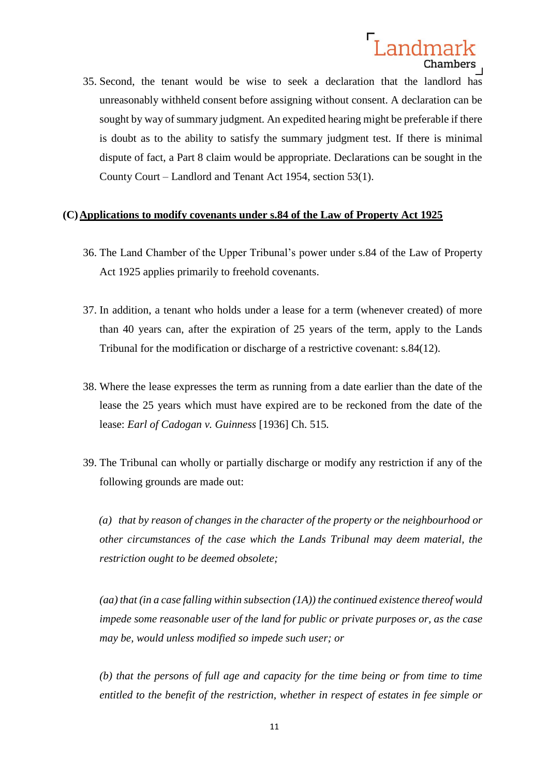35. Second, the tenant would be wise to seek a declaration that the landlord has unreasonably withheld consent before assigning without consent. A declaration can be sought by way of summary judgment. An expedited hearing might be preferable if there is doubt as to the ability to satisfy the summary judgment test. If there is minimal dispute of fact, a Part 8 claim would be appropriate. Declarations can be sought in the County Court – Landlord and Tenant Act 1954, section 53(1).

# **(C)Applications to modify covenants under s.84 of the Law of Property Act 1925**

- 36. The Land Chamber of the Upper Tribunal's power under s.84 of the Law of Property Act 1925 applies primarily to freehold covenants.
- 37. In addition, a tenant who holds under a lease for a term (whenever created) of more than 40 years can, after the expiration of 25 years of the term, apply to the Lands Tribunal for the modification or discharge of a restrictive covenant: s.84(12).
- 38. Where the lease expresses the term as running from a date earlier than the date of the lease the 25 years which must have expired are to be reckoned from the date of the lease: *Earl of Cadogan v. Guinness* [1936] Ch. 515*.*
- 39. The Tribunal can wholly or partially discharge or modify any restriction if any of the following grounds are made out:

*(a) that by reason of changes in the character of the property or the neighbourhood or other circumstances of the case which the Lands Tribunal may deem material, the restriction ought to be deemed obsolete;*

*(aa) that (in a case falling within subsection (1A)) the continued existence thereof would impede some reasonable user of the land for public or private purposes or, as the case may be, would unless modified so impede such user; or*

*(b) that the persons of full age and capacity for the time being or from time to time entitled to the benefit of the restriction, whether in respect of estates in fee simple or*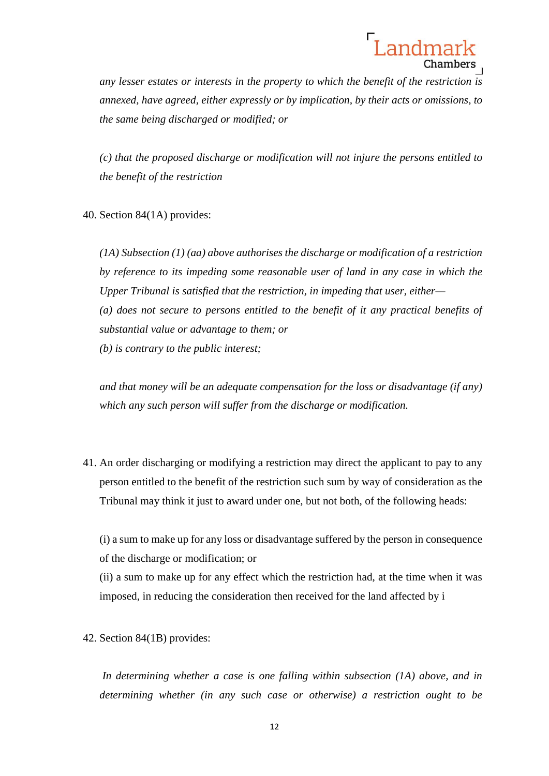*any lesser estates or interests in the property to which the benefit of the restriction is annexed, have agreed, either expressly or by implication, by their acts or omissions, to the same being discharged or modified; or*

*(c) that the proposed discharge or modification will not injure the persons entitled to the benefit of the restriction*

40. Section 84(1A) provides:

*(1A) Subsection (1) (aa) above authorises the discharge or modification of a restriction by reference to its impeding some reasonable user of land in any case in which the Upper Tribunal is satisfied that the restriction, in impeding that user, either— (a) does not secure to persons entitled to the benefit of it any practical benefits of substantial value or advantage to them; or (b) is contrary to the public interest;*

*and that money will be an adequate compensation for the loss or disadvantage (if any) which any such person will suffer from the discharge or modification.*

41. An order discharging or modifying a restriction may direct the applicant to pay to any person entitled to the benefit of the restriction such sum by way of consideration as the Tribunal may think it just to award under one, but not both, of the following heads:

(i) a sum to make up for any loss or disadvantage suffered by the person in consequence of the discharge or modification; or

(ii) a sum to make up for any effect which the restriction had, at the time when it was imposed, in reducing the consideration then received for the land affected by i

42. Section 84(1B) provides:

*In determining whether a case is one falling within subsection (1A) above, and in determining whether (in any such case or otherwise) a restriction ought to be*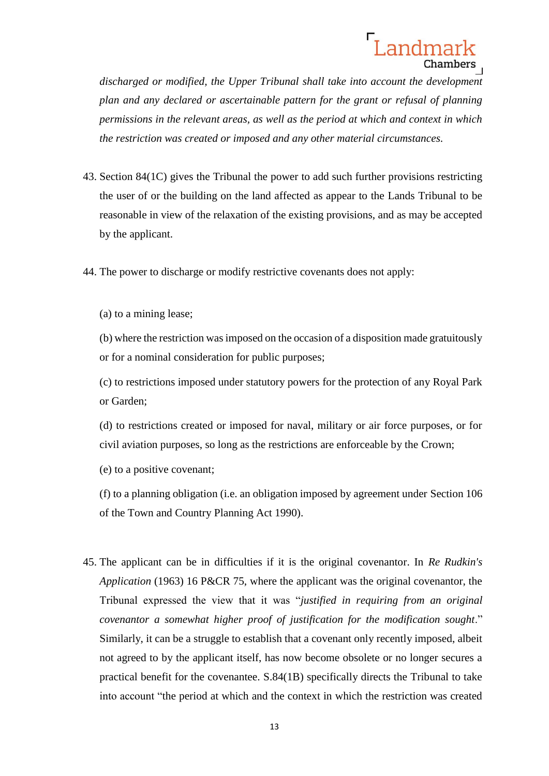*discharged or modified, the Upper Tribunal shall take into account the development plan and any declared or ascertainable pattern for the grant or refusal of planning permissions in the relevant areas, as well as the period at which and context in which the restriction was created or imposed and any other material circumstances.*

- 43. Section 84(1C) gives the Tribunal the power to add such further provisions restricting the user of or the building on the land affected as appear to the Lands Tribunal to be reasonable in view of the relaxation of the existing provisions, and as may be accepted by the applicant.
- 44. The power to discharge or modify restrictive covenants does not apply:
	- (a) to a mining lease;

(b) where the restriction was imposed on the occasion of a disposition made gratuitously or for a nominal consideration for public purposes;

(c) to restrictions imposed under statutory powers for the protection of any Royal Park or Garden;

(d) to restrictions created or imposed for naval, military or air force purposes, or for civil aviation purposes, so long as the restrictions are enforceable by the Crown;

(e) to a positive covenant;

(f) to a planning obligation (i.e. an obligation imposed by agreement under Section 106 of the Town and Country Planning Act 1990).

45. The applicant can be in difficulties if it is the original covenantor. In *Re Rudkin's Application* (1963) 16 P&CR 75, where the applicant was the original covenantor, the Tribunal expressed the view that it was "*justified in requiring from an original covenantor a somewhat higher proof of justification for the modification sought*." Similarly, it can be a struggle to establish that a covenant only recently imposed, albeit not agreed to by the applicant itself, has now become obsolete or no longer secures a practical benefit for the covenantee. S.84(1B) specifically directs the Tribunal to take into account "the period at which and the context in which the restriction was created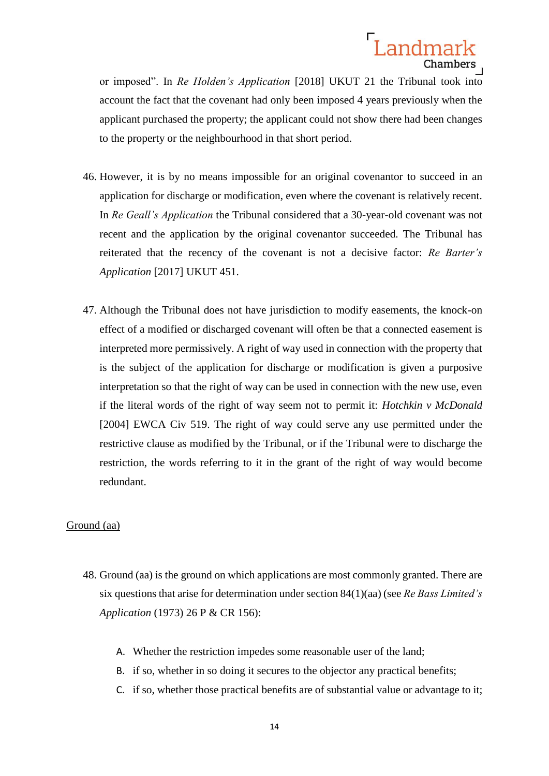

or imposed". In *Re Holden's Application* [2018] UKUT 21 the Tribunal took into account the fact that the covenant had only been imposed 4 years previously when the applicant purchased the property; the applicant could not show there had been changes to the property or the neighbourhood in that short period.

- 46. However, it is by no means impossible for an original covenantor to succeed in an application for discharge or modification, even where the covenant is relatively recent. In *Re Geall's Application* the Tribunal considered that a 30-year-old covenant was not recent and the application by the original covenantor succeeded. The Tribunal has reiterated that the recency of the covenant is not a decisive factor: *Re Barter's Application* [2017] UKUT 451.
- 47. Although the Tribunal does not have jurisdiction to modify easements, the knock-on effect of a modified or discharged covenant will often be that a connected easement is interpreted more permissively. A right of way used in connection with the property that is the subject of the application for discharge or modification is given a purposive interpretation so that the right of way can be used in connection with the new use, even if the literal words of the right of way seem not to permit it: *Hotchkin v McDonald* [2004] EWCA Civ 519. The right of way could serve any use permitted under the restrictive clause as modified by the Tribunal, or if the Tribunal were to discharge the restriction, the words referring to it in the grant of the right of way would become redundant.

#### Ground (aa)

- 48. Ground (aa) is the ground on which applications are most commonly granted. There are six questions that arise for determination under section 84(1)(aa) (see *Re Bass Limited's Application* (1973) 26 P & CR 156):
	- A. Whether the restriction impedes some reasonable user of the land;
	- B. if so, whether in so doing it secures to the objector any practical benefits;
	- C. if so, whether those practical benefits are of substantial value or advantage to it;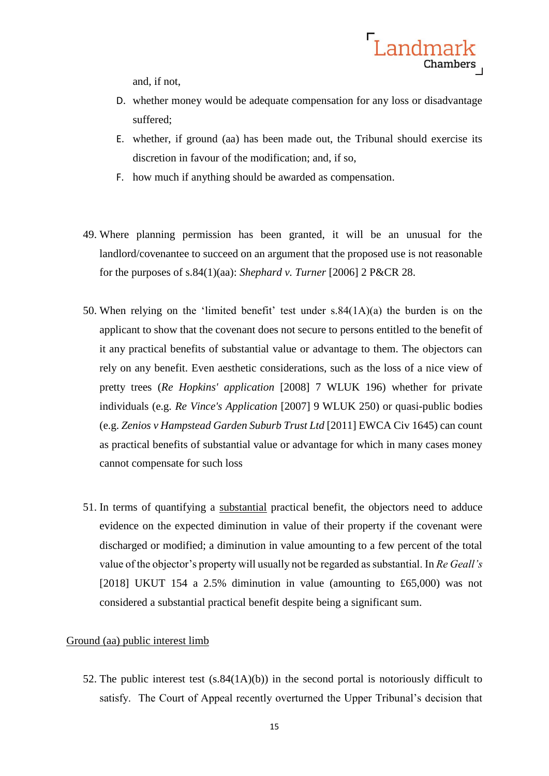and, if not,

D. whether money would be adequate compensation for any loss or disadvantage suffered;

Landmark

Chambers

- E. whether, if ground (aa) has been made out, the Tribunal should exercise its discretion in favour of the modification; and, if so,
- F. how much if anything should be awarded as compensation.
- 49. Where planning permission has been granted, it will be an unusual for the landlord/covenantee to succeed on an argument that the proposed use is not reasonable for the purposes of s.84(1)(aa): *Shephard v. Turner* [2006] 2 P&CR 28.
- 50. When relying on the 'limited benefit' test under s.84(1A)(a) the burden is on the applicant to show that the covenant does not secure to persons entitled to the benefit of it any practical benefits of substantial value or advantage to them. The objectors can rely on any benefit. Even aesthetic considerations, such as the loss of a nice view of pretty trees (*Re Hopkins' application* [2008] 7 WLUK 196) whether for private individuals (e.g. *Re Vince's Application* [2007] 9 WLUK 250) or quasi-public bodies (e.g. *Zenios v Hampstead Garden Suburb Trust Ltd* [2011] EWCA Civ 1645) can count as practical benefits of substantial value or advantage for which in many cases money cannot compensate for such loss
- 51. In terms of quantifying a substantial practical benefit, the objectors need to adduce evidence on the expected diminution in value of their property if the covenant were discharged or modified; a diminution in value amounting to a few percent of the total value of the objector's property will usually not be regarded as substantial. In *Re Geall's* [2018] UKUT 154 a 2.5% diminution in value (amounting to £65,000) was not considered a substantial practical benefit despite being a significant sum.

#### Ground (aa) public interest limb

52. The public interest test  $(s.84(1A)(b))$  in the second portal is notoriously difficult to satisfy. The Court of Appeal recently overturned the Upper Tribunal's decision that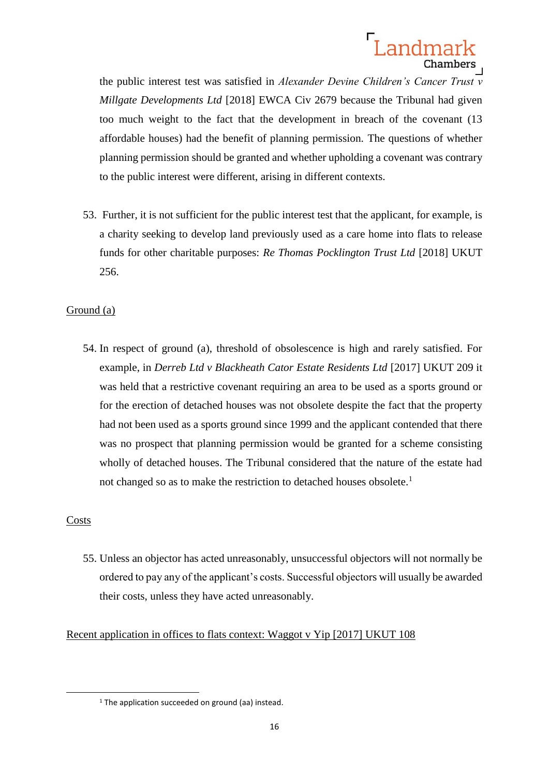the public interest test was satisfied in *Alexander Devine Children's Cancer Trust v Millgate Developments Ltd* [2018] EWCA Civ 2679 because the Tribunal had given too much weight to the fact that the development in breach of the covenant (13 affordable houses) had the benefit of planning permission. The questions of whether planning permission should be granted and whether upholding a covenant was contrary to the public interest were different, arising in different contexts.

53. Further, it is not sufficient for the public interest test that the applicant, for example, is a charity seeking to develop land previously used as a care home into flats to release funds for other charitable purposes: *Re Thomas Pocklington Trust Ltd* [2018] UKUT 256.

# Ground (a)

54. In respect of ground (a), threshold of obsolescence is high and rarely satisfied. For example, in *Derreb Ltd v Blackheath Cator Estate Residents Ltd* [2017] UKUT 209 it was held that a restrictive covenant requiring an area to be used as a sports ground or for the erection of detached houses was not obsolete despite the fact that the property had not been used as a sports ground since 1999 and the applicant contended that there was no prospect that planning permission would be granted for a scheme consisting wholly of detached houses. The Tribunal considered that the nature of the estate had not changed so as to make the restriction to detached houses obsolete.<sup>1</sup>

### Costs

1

55. Unless an objector has acted unreasonably, unsuccessful objectors will not normally be ordered to pay any of the applicant's costs. Successful objectors will usually be awarded their costs, unless they have acted unreasonably.

Recent application in offices to flats context: Waggot v Yip [2017] UKUT 108

<sup>&</sup>lt;sup>1</sup> The application succeeded on ground (aa) instead.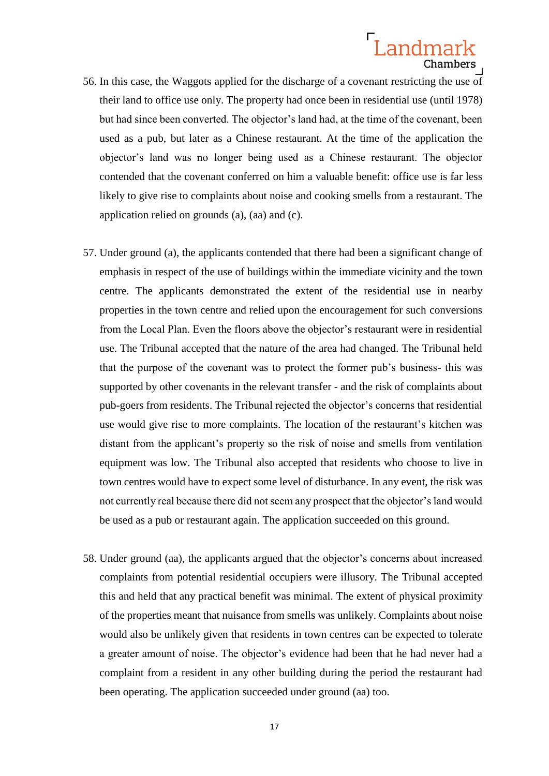- 56. In this case, the Waggots applied for the discharge of a covenant restricting the use of their land to office use only. The property had once been in residential use (until 1978) but had since been converted. The objector's land had, at the time of the covenant, been used as a pub, but later as a Chinese restaurant. At the time of the application the objector's land was no longer being used as a Chinese restaurant. The objector contended that the covenant conferred on him a valuable benefit: office use is far less likely to give rise to complaints about noise and cooking smells from a restaurant. The application relied on grounds (a), (aa) and (c).
- 57. Under ground (a), the applicants contended that there had been a significant change of emphasis in respect of the use of buildings within the immediate vicinity and the town centre. The applicants demonstrated the extent of the residential use in nearby properties in the town centre and relied upon the encouragement for such conversions from the Local Plan. Even the floors above the objector's restaurant were in residential use. The Tribunal accepted that the nature of the area had changed. The Tribunal held that the purpose of the covenant was to protect the former pub's business- this was supported by other covenants in the relevant transfer - and the risk of complaints about pub-goers from residents. The Tribunal rejected the objector's concerns that residential use would give rise to more complaints. The location of the restaurant's kitchen was distant from the applicant's property so the risk of noise and smells from ventilation equipment was low. The Tribunal also accepted that residents who choose to live in town centres would have to expect some level of disturbance. In any event, the risk was not currently real because there did not seem any prospect that the objector's land would be used as a pub or restaurant again. The application succeeded on this ground.
- 58. Under ground (aa), the applicants argued that the objector's concerns about increased complaints from potential residential occupiers were illusory. The Tribunal accepted this and held that any practical benefit was minimal. The extent of physical proximity of the properties meant that nuisance from smells was unlikely. Complaints about noise would also be unlikely given that residents in town centres can be expected to tolerate a greater amount of noise. The objector's evidence had been that he had never had a complaint from a resident in any other building during the period the restaurant had been operating. The application succeeded under ground (aa) too.